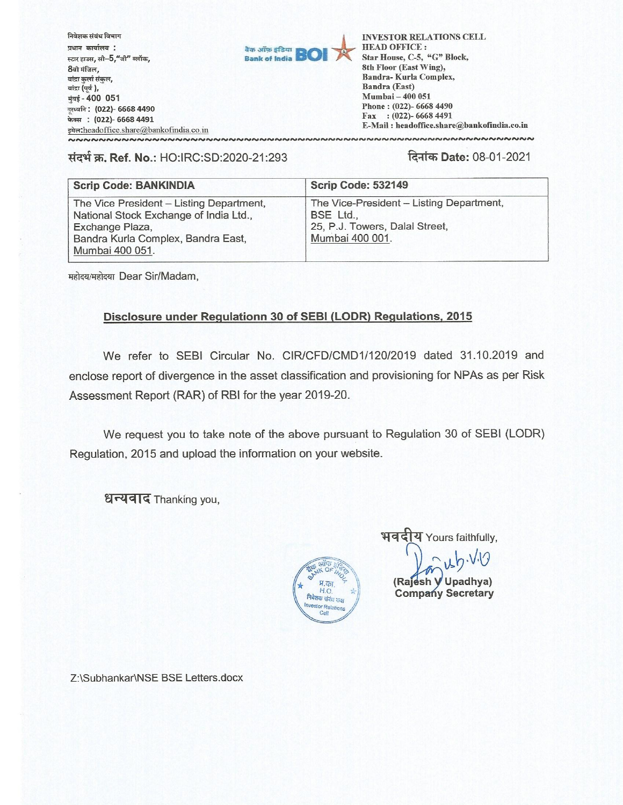

## संदर्भ क्र. Ref. No.: HO:IRC:SD:2020-21:293

दिनांक Date: 08-01-2021

| <b>Scrip Code: BANKINDIA</b>                                                                                                                                   | <b>Scrip Code: 532149</b>                                                                                  |
|----------------------------------------------------------------------------------------------------------------------------------------------------------------|------------------------------------------------------------------------------------------------------------|
| The Vice President - Listing Department,<br>National Stock Exchange of India Ltd.,<br>Exchange Plaza,<br>Bandra Kurla Complex, Bandra East,<br>Mumbai 400 051. | The Vice-President - Listing Department,<br>BSE Ltd.,<br>25, P.J. Towers, Dalal Street,<br>Mumbai 400 001. |

महोदय/महोदया Dear Sir/Madam,

## Disclosure under Regulationn 30 of SEBI (LODR) Regulations, 2015

We refer to SEBI Circular No. CIR/CFD/CMD1/120/2019 dated 31.10.2019 and enclose report of divergence in the asset classification and provisioning for NPAs as per Risk Assessment Report (RAR) of RBI for the year 2019-20.

We request you to take note of the above pursuant to Regulation 30 of SEBI (LODR) Regulation, 2015 and upload the information on your website.

धन्यवाद Thanking you,



भवदीय Yours faithfully,

(Rajesh V Upadhya) **Company Secretary** 

Z:\Subhankar\NSE BSE Letters.docx